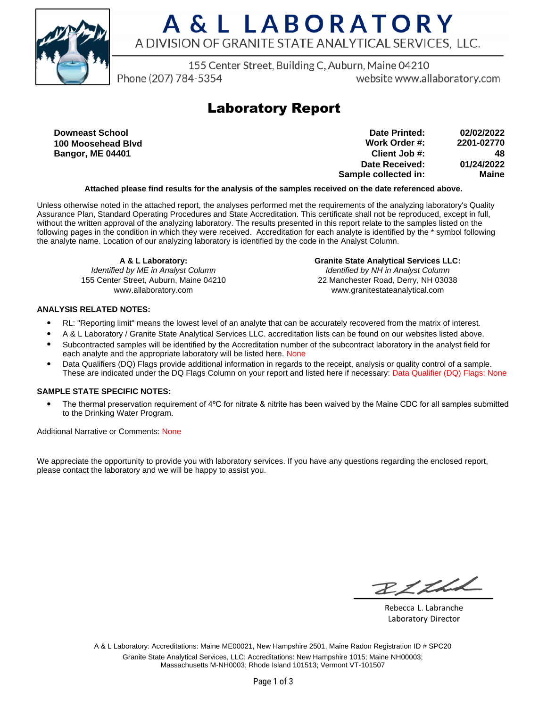

155 Center Street, Building C, Auburn, Maine 04210

Phone (207) 784-5354

website www.allaboratory.com

### **Laboratory Report**

**Downeast School 100 Moosehead Blvd Bangor, ME 04401**

**Work Order #: Client Job #: Date Received: Sample collected in: 2201-02770 48 01/24/2022 Maine Date Printed: 02/02/2022**

#### **Attached please find results for the analysis of the samples received on the date referenced above.**

Unless otherwise noted in the attached report, the analyses performed met the requirements of the analyzing laboratory's Quality Assurance Plan, Standard Operating Procedures and State Accreditation. This certificate shall not be reproduced, except in full, without the written approval of the analyzing laboratory. The results presented in this report relate to the samples listed on the following pages in the condition in which they were received. Accreditation for each analyte is identified by the \* symbol following the analyte name. Location of our analyzing laboratory is identified by the code in the Analyst Column.

**A & L Laboratory:** Identified by ME in Analyst Column 155 Center Street, Auburn, Maine 04210 www.allaboratory.com

**Granite State Analytical Services LLC:** Identified by NH in Analyst Column 22 Manchester Road, Derry, NH 03038 www.granitestateanalytical.com

#### **ANALYSIS RELATED NOTES:**

- RL: "Reporting limit" means the lowest level of an analyte that can be accurately recovered from the matrix of interest.
- A & L Laboratory / Granite State Analytical Services LLC. accreditation lists can be found on our websites listed above.
- Subcontracted samples will be identified by the Accreditation number of the subcontract laboratory in the analyst field for each analyte and the appropriate laboratory will be listed here. None
- Data Qualifiers (DQ) Flags provide additional information in regards to the receipt, analysis or quality control of a sample. These are indicated under the DQ Flags Column on your report and listed here if necessary: Data Qualifier (DQ) Flags: None

#### **SAMPLE STATE SPECIFIC NOTES:**

• The thermal preservation requirement of 4°C for nitrate & nitrite has been waived by the Maine CDC for all samples submitted to the Drinking Water Program.

Additional Narrative or Comments: None

We appreciate the opportunity to provide you with laboratory services. If you have any questions regarding the enclosed report, please contact the laboratory and we will be happy to assist you.

RICHL

Rebecca L. Labranche Laboratory Director

A & L Laboratory: Accreditations: Maine ME00021, New Hampshire 2501, Maine Radon Registration ID # SPC20 Granite State Analytical Services, LLC: Accreditations: New Hampshire 1015; Maine NH00003; Massachusetts M-NH0003; Rhode Island 101513; Vermont VT-101507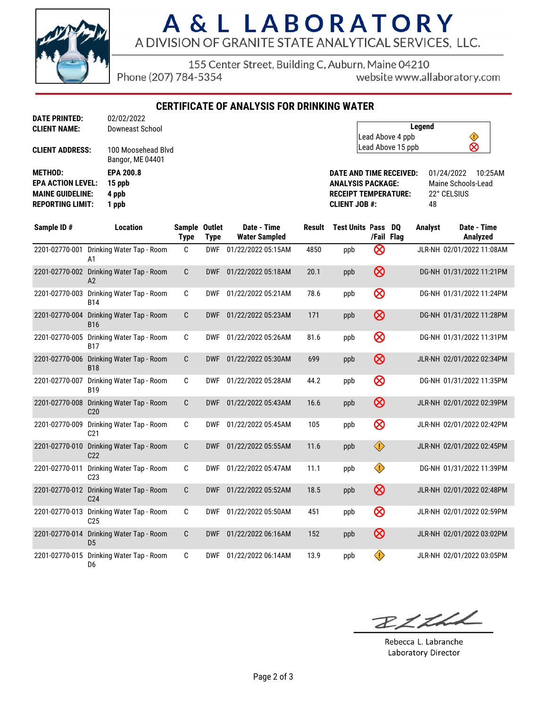

155 Center Street, Building C, Auburn, Maine 04210

Phone (207) 784-5354

website www.allaboratory.com

**CERTIFICATE OF ANALYSIS FOR DRINKING WATER**

| <b>CLIENT NAME:</b>      | Downeast School                        |
|--------------------------|----------------------------------------|
| <b>CLIENT ADDRESS:</b>   | 100 Moosehead Blvd<br>Bangor, ME 04401 |
| <b>METHOD:</b>           | <b>EPA 200.8</b>                       |
| <b>EPA ACTION LEVEL:</b> | 15 ppb                                 |
| <b>MAINE GUIDELINE:</b>  | 4 ppb                                  |
|                          |                                        |

**DATE PRINTED:** 02/02/2022

| Legend            |  |
|-------------------|--|
| Lead Above 4 ppb  |  |
| Lead Above 15 ppb |  |

**DATE AND TIME RECEIVED:** 01/24/2022 10:25AM **ANALYSIS PACKAGE:** Maine Schools-Lead **RECEIPT TEMPERATURE:** 22° CELSIUS **CLIENT JOB #:** 48

| Sample ID#     | <b>Location</b>                                | Sample Outlet<br><b>Type</b> | <b>Type</b> | Date - Time<br><b>Water Sampled</b> | <b>Result</b> | <b>Test Units Pass</b> |            | DO<br>/Fail Flag | <b>Analyst</b> | Date - Time<br>Analyzed   |
|----------------|------------------------------------------------|------------------------------|-------------|-------------------------------------|---------------|------------------------|------------|------------------|----------------|---------------------------|
| 2201-02770-001 | Drinking Water Tap - Room<br>A1                | C                            | <b>DWF</b>  | 01/22/2022 05:15AM                  | 4850          | ppb                    | ⊗          |                  |                | JLR-NH 02/01/2022 11:08AM |
|                | 2201-02770-002 Drinking Water Tap - Room<br>A2 | C                            | <b>DWF</b>  | 01/22/2022 05:18AM                  | 20.1          | ppb                    | $\otimes$  |                  |                | DG-NH 01/31/2022 11:21PM  |
| 2201-02770-003 | Drinking Water Tap - Room<br><b>B14</b>        | C                            | <b>DWF</b>  | 01/22/2022 05:21AM                  | 78.6          | ppb                    | $\otimes$  |                  |                | DG-NH 01/31/2022 11:24PM  |
| 2201-02770-004 | Drinking Water Tap - Room<br><b>B16</b>        | C                            | <b>DWF</b>  | 01/22/2022 05:23AM                  | 171           | ppb                    | $\otimes$  |                  |                | DG-NH 01/31/2022 11:28PM  |
| 2201-02770-005 | Drinking Water Tap - Room<br><b>B17</b>        | C                            | <b>DWF</b>  | 01/22/2022 05:26AM                  | 81.6          | ppb                    | $\otimes$  |                  |                | DG-NH 01/31/2022 11:31PM  |
| 2201-02770-006 | Drinking Water Tap - Room<br><b>B18</b>        | $\mathbf{C}$                 | <b>DWF</b>  | 01/22/2022 05:30AM                  | 699           | ppb                    | $\otimes$  |                  |                | JLR-NH 02/01/2022 02:34PM |
| 2201-02770-007 | Drinking Water Tap - Room<br><b>B19</b>        | C                            | <b>DWF</b>  | 01/22/2022 05:28AM                  | 44.2          | ppb                    | $\otimes$  |                  |                | DG-NH 01/31/2022 11:35PM  |
| 2201-02770-008 | Drinking Water Tap - Room<br>C <sub>20</sub>   | C                            | <b>DWF</b>  | 01/22/2022 05:43AM                  | 16.6          | ppb                    | $\otimes$  |                  |                | JLR-NH 02/01/2022 02:39PM |
| 2201-02770-009 | Drinking Water Tap - Room<br>C <sub>21</sub>   | C                            | <b>DWF</b>  | 01/22/2022 05:45AM                  | 105           | ppb                    | $\otimes$  |                  |                | JLR-NH 02/01/2022 02:42PM |
| 2201-02770-010 | Drinking Water Tap - Room<br>C <sub>22</sub>   | $\mathbf{C}$                 | <b>DWF</b>  | 01/22/2022 05:55AM                  | 11.6          | ppb                    | $\bigcirc$ |                  |                | JLR-NH 02/01/2022 02:45PM |
| 2201-02770-011 | Drinking Water Tap - Room<br>C <sub>23</sub>   | C                            | <b>DWF</b>  | 01/22/2022 05:47AM                  | 11.1          | ppb                    | ♦          |                  |                | DG-NH 01/31/2022 11:39PM  |
| 2201-02770-012 | Drinking Water Tap - Room<br>C <sub>24</sub>   | $\mathbf{C}$                 | <b>DWF</b>  | 01/22/2022 05:52AM                  | 18.5          | ppb                    | $\otimes$  |                  |                | JLR-NH 02/01/2022 02:48PM |
| 2201-02770-013 | Drinking Water Tap - Room<br>C <sub>25</sub>   | C                            | <b>DWF</b>  | 01/22/2022 05:50AM                  | 451           | ppb                    | $\otimes$  |                  |                | JLR-NH 02/01/2022 02:59PM |
| 2201-02770-014 | Drinking Water Tap - Room<br>D <sub>5</sub>    | C                            | <b>DWF</b>  | 01/22/2022 06:16AM                  | 152           | ppb                    | $\otimes$  |                  |                | JLR-NH 02/01/2022 03:02PM |
| 2201-02770-015 | Drinking Water Tap - Room<br>D6                | C                            | <b>DWF</b>  | 01/22/2022 06:14AM                  | 13.9          | ppb                    | ♦          |                  |                | JLR-NH 02/01/2022 03:05PM |

BLLLL

Rebecca L. Labranche Laboratory Director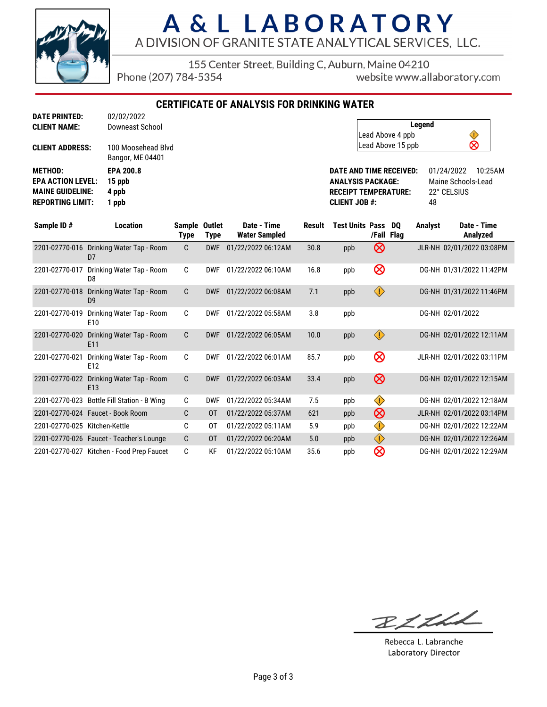

155 Center Street, Building C, Auburn, Maine 04210

Phone (207) 784-5354

website www.allaboratory.com

**CERTIFICATE OF ANALYSIS FOR DRINKING WATER**

| <b>DATE PRINTED:</b>     | 02/02/2022                             |
|--------------------------|----------------------------------------|
| <b>CLIENT NAME:</b>      | Downeast School                        |
| <b>CLIENT ADDRESS:</b>   | 100 Moosehead Blvd<br>Bangor, ME 04401 |
| <b>METHOD:</b>           | <b>EPA 200.8</b>                       |
| <b>EPA ACTION LEVEL:</b> | 15 ppb                                 |
| <b>MAINE GUIDELINE:</b>  | 4 ppb                                  |
| <b>REPORTING LIMIT:</b>  | 1 ppb                                  |

| Legend            |   |  |
|-------------------|---|--|
| Lead Above 4 ppb  |   |  |
| Lead Above 15 ppb | ⊗ |  |

**DATE AND TIME RECEIVED:** 01/24/2022 10:25AM **ANALYSIS PACKAGE:** Maine Schools-Lead<br> **RECEIPT TEMPERATURE:** 22° CELSIUS **RECEIPT TEMPERATURE: CLIENT JOB #:** 48

| Sample ID#                    | <b>Location</b>                              | Sample Outlet<br>Type | <b>Type</b> | Date - Time<br><b>Water Sampled</b> | Result | <b>Test Units Pass</b> | /Fail Flag              | DQ | <b>Analyst</b> | Date - Time<br>Analyzed   |
|-------------------------------|----------------------------------------------|-----------------------|-------------|-------------------------------------|--------|------------------------|-------------------------|----|----------------|---------------------------|
| 2201-02770-016                | Drinking Water Tap - Room<br>D7              | C                     | <b>DWF</b>  | 01/22/2022 06:12AM                  | 30.8   | ppb                    | ⊗                       |    |                | JLR-NH 02/01/2022 03:08PM |
| 2201-02770-017                | Drinking Water Tap - Room<br>D <sub>8</sub>  | C                     | <b>DWF</b>  | 01/22/2022 06:10AM                  | 16.8   | ppb                    | $\otimes$               |    |                | DG-NH 01/31/2022 11:42PM  |
| 2201-02770-018                | Drinking Water Tap - Room<br>D <sub>9</sub>  | C                     | <b>DWF</b>  | 01/22/2022 06:08AM                  | 7.1    | ppb                    | $\langle \cdot \rangle$ |    |                | DG-NH 01/31/2022 11:46PM  |
| 2201-02770-019                | Drinking Water Tap - Room<br>E <sub>10</sub> | C                     | <b>DWF</b>  | 01/22/2022 05:58AM                  | 3.8    | ppb                    |                         |    |                | DG-NH 02/01/2022          |
| 2201-02770-020                | Drinking Water Tap - Room<br>E11             | C                     | <b>DWF</b>  | 01/22/2022 06:05AM                  | 10.0   | ppb                    | $\langle \cdot \rangle$ |    |                | DG-NH 02/01/2022 12:11AM  |
| 2201-02770-021                | Drinking Water Tap - Room<br>E12             | C                     | <b>DWF</b>  | 01/22/2022 06:01AM                  | 85.7   | ppb                    | $\otimes$               |    |                | JLR-NH 02/01/2022 03:11PM |
| 2201-02770-022                | Drinking Water Tap - Room<br>E13             | C                     | <b>DWF</b>  | 01/22/2022 06:03AM                  | 33.4   | ppb                    | $\otimes$               |    |                | DG-NH 02/01/2022 12:15AM  |
| 2201-02770-023                | Bottle Fill Station - B Wing                 | C                     | <b>DWF</b>  | 01/22/2022 05:34AM                  | 7.5    | ppb                    | $\bigcirc$              |    |                | DG-NH 02/01/2022 12:18AM  |
|                               | 2201-02770-024    Faucet - Book Room         | C                     | 0T          | 01/22/2022 05:37AM                  | 621    | ppb                    | $\otimes$               |    |                | JLR-NH 02/01/2022 03:14PM |
| 2201-02770-025 Kitchen-Kettle |                                              | C                     | 0T          | 01/22/2022 05:11AM                  | 5.9    | ppb                    | $\bigcirc$              |    |                | DG-NH 02/01/2022 12:22AM  |
|                               | 2201-02770-026 Faucet - Teacher's Lounge     | C.                    | 0T          | 01/22/2022 06:20AM                  | 5.0    | ppb                    | $\bigcirc$              |    |                | DG-NH 02/01/2022 12:26AM  |
|                               | 2201-02770-027 Kitchen - Food Prep Faucet    | C                     | KF          | 01/22/2022 05:10AM                  | 35.6   | ppb                    | ⊗                       |    |                | DG-NH 02/01/2022 12:29AM  |

BLLLL

Rebecca L. Labranche Laboratory Director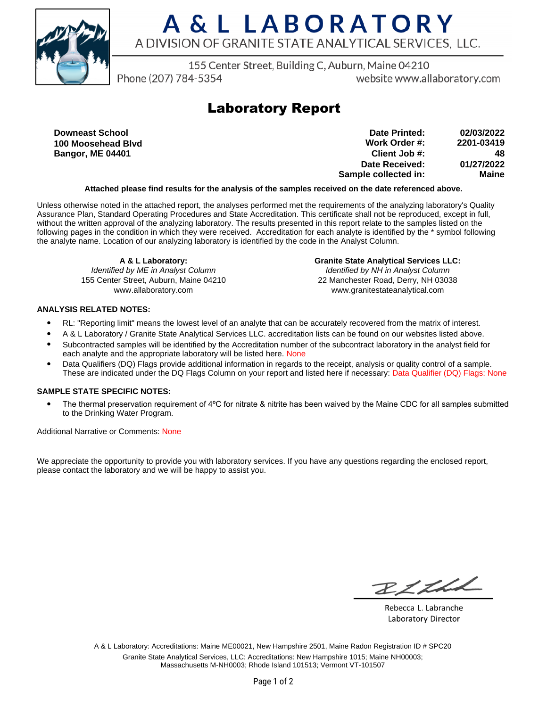

155 Center Street, Building C, Auburn, Maine 04210

Phone (207) 784-5354

website www.allaboratory.com

### **Laboratory Report**

**Downeast School 100 Moosehead Blvd Bangor, ME 04401**

**Work Order #: Client Job #: Date Received: Sample collected in: 2201-03419 48 01/27/2022 Maine Date Printed: 02/03/2022**

### **Attached please find results for the analysis of the samples received on the date referenced above.**

Unless otherwise noted in the attached report, the analyses performed met the requirements of the analyzing laboratory's Quality Assurance Plan, Standard Operating Procedures and State Accreditation. This certificate shall not be reproduced, except in full, without the written approval of the analyzing laboratory. The results presented in this report relate to the samples listed on the following pages in the condition in which they were received. Accreditation for each analyte is identified by the \* symbol following the analyte name. Location of our analyzing laboratory is identified by the code in the Analyst Column.

**A & L Laboratory:** Identified by ME in Analyst Column 155 Center Street, Auburn, Maine 04210 www.allaboratory.com

**Granite State Analytical Services LLC:** Identified by NH in Analyst Column 22 Manchester Road, Derry, NH 03038 www.granitestateanalytical.com

### **ANALYSIS RELATED NOTES:**

- RL: "Reporting limit" means the lowest level of an analyte that can be accurately recovered from the matrix of interest.
- A & L Laboratory / Granite State Analytical Services LLC. accreditation lists can be found on our websites listed above.
- Subcontracted samples will be identified by the Accreditation number of the subcontract laboratory in the analyst field for each analyte and the appropriate laboratory will be listed here. None
- Data Qualifiers (DQ) Flags provide additional information in regards to the receipt, analysis or quality control of a sample. These are indicated under the DQ Flags Column on your report and listed here if necessary: Data Qualifier (DQ) Flags: None

#### **SAMPLE STATE SPECIFIC NOTES:**

• The thermal preservation requirement of 4°C for nitrate & nitrite has been waived by the Maine CDC for all samples submitted to the Drinking Water Program.

Additional Narrative or Comments: None

We appreciate the opportunity to provide you with laboratory services. If you have any questions regarding the enclosed report, please contact the laboratory and we will be happy to assist you.

RICHL

Rebecca L. Labranche Laboratory Director

A & L Laboratory: Accreditations: Maine ME00021, New Hampshire 2501, Maine Radon Registration ID # SPC20 Granite State Analytical Services, LLC: Accreditations: New Hampshire 1015; Maine NH00003; Massachusetts M-NH0003; Rhode Island 101513; Vermont VT-101507